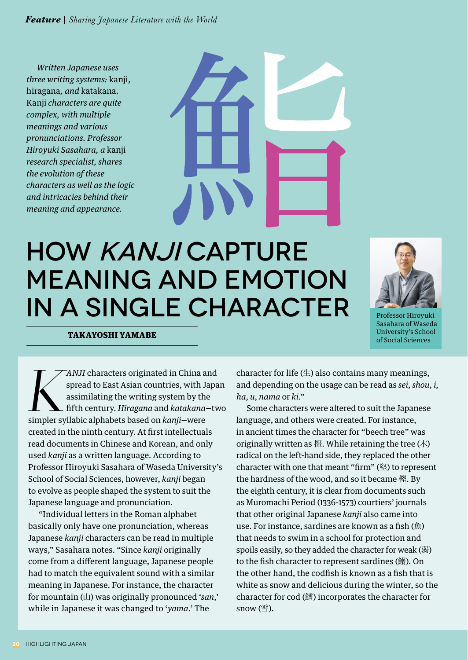*Feature Sharing Japanese Literature with the World*

*Written Japanese uses three writing systems:* kanji, hiragana*, and* katakana*.*  Kanji *characters are quite complex, with multiple meanings and various pronunciations. Professor Hiroyuki Sasahara, a* kanji *research specialist, shares the evolution of these characters as well as the logic and intricacies behind their meaning and appearance.*



## HOW KANJI CAPTURE MEANING AND EMOTION IN A SINGLE CHARACTER



Professor Hiroyuki Sasahara of Waseda University's School of Social Sciences

TAKAYOSHI YAMABE

*K*<sup>*KANJI* characters originated in China and spread to East Asian countries, with Japa assimilating the writing system by the fifth century. *Hiragana* and *katakana*-two simpler syllabic alphabets based on *kanji*-were</sup> spread to East Asian countries, with Japan assimilating the writing system by the fifth century. *Hiragana* and *katakana*—two created in the ninth century. At first intellectuals read documents in Chinese and Korean, and only used *kanji* as a written language. According to Professor Hiroyuki Sasahara of Waseda University's School of Social Sciences, however, *kanji* began to evolve as people shaped the system to suit the Japanese language and pronunciation.

"Individual letters in the Roman alphabet basically only have one pronunciation, whereas Japanese *kanji* characters can be read in multiple ways," Sasahara notes. "Since *kanji* originally come from a different language, Japanese people had to match the equivalent sound with a similar meaning in Japanese. For instance, the character for mountain (山) was originally pronounced '*san*,' while in Japanese it was changed to '*yama*.' The

character for life  $(\pm)$  also contains many meanings, and depending on the usage can be read as *sei*, *shou*, *i*, *ha*, *u*, *nama* or *ki*."

Some characters were altered to suit the Japanese language, and others were created. For instance, in ancient times the character for "beech tree" was originally written as  $\mathbf{H}$ . While retaining the tree  $(\pi)$ radical on the left-hand side, they replaced the other character with one that meant "firm" (堅) to represent the hardness of the wood, and so it became 樫. By the eighth century, it is clear from documents such as Muromachi Period (1336-1573) courtiers' journals that other original Japanese *kanji* also came into use. For instance, sardines are known as a fish (魚) that needs to swim in a school for protection and spoils easily, so they added the character for weak (弱) to the fish character to represent sardines (鰯). On the other hand, the codfish is known as a fish that is white as snow and delicious during the winter, so the character for cod (鱈) incorporates the character for snow (雪).